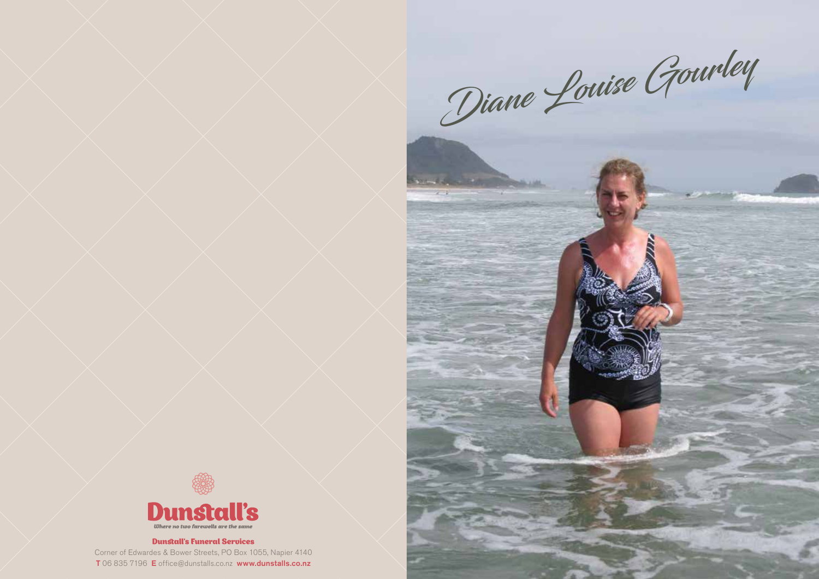Diane Louise Gourley



## Dunstall's Funeral Services

Corner of Edwardes & Bower Streets, PO Box 1055, Napier 4140 T 06 835 7196 E office@dunstalls.co.nz www.dunstalls.co.nz